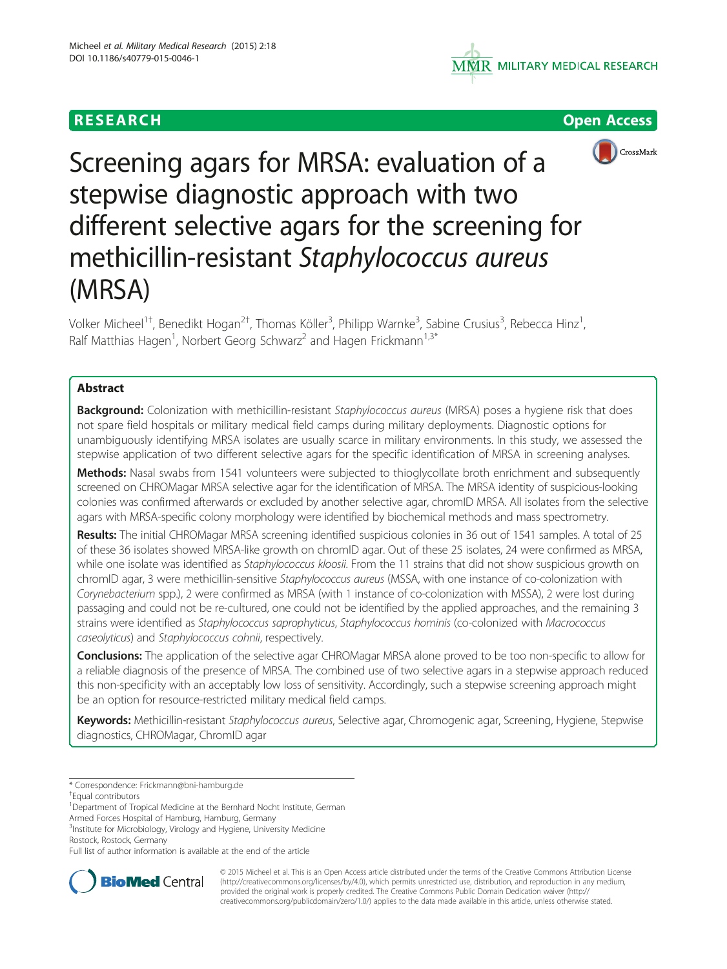





Screening agars for MRSA: evaluation of a stepwise diagnostic approach with two different selective agars for the screening for methicillin-resistant Staphylococcus aureus (MRSA)

Volker Micheel<sup>1†</sup>, Benedikt Hogan<sup>2†</sup>, Thomas Köller<sup>3</sup>, Philipp Warnke<sup>3</sup>, Sabine Crusius<sup>3</sup>, Rebecca Hinz<sup>1</sup> , Ralf Matthias Hagen<sup>1</sup>, Norbert Georg Schwarz<sup>2</sup> and Hagen Frickmann<sup>1,3\*</sup>

# Abstract

Background: Colonization with methicillin-resistant Staphylococcus aureus (MRSA) poses a hygiene risk that does not spare field hospitals or military medical field camps during military deployments. Diagnostic options for unambiguously identifying MRSA isolates are usually scarce in military environments. In this study, we assessed the stepwise application of two different selective agars for the specific identification of MRSA in screening analyses.

Methods: Nasal swabs from 1541 volunteers were subjected to thioglycollate broth enrichment and subsequently screened on CHROMagar MRSA selective agar for the identification of MRSA. The MRSA identity of suspicious-looking colonies was confirmed afterwards or excluded by another selective agar, chromID MRSA. All isolates from the selective agars with MRSA-specific colony morphology were identified by biochemical methods and mass spectrometry.

Results: The initial CHROMagar MRSA screening identified suspicious colonies in 36 out of 1541 samples. A total of 25 of these 36 isolates showed MRSA-like growth on chromID agar. Out of these 25 isolates, 24 were confirmed as MRSA, while one isolate was identified as Staphylococcus kloosii. From the 11 strains that did not show suspicious growth on chromID agar, 3 were methicillin-sensitive Staphylococcus aureus (MSSA, with one instance of co-colonization with Corynebacterium spp.), 2 were confirmed as MRSA (with 1 instance of co-colonization with MSSA), 2 were lost during passaging and could not be re-cultured, one could not be identified by the applied approaches, and the remaining 3 strains were identified as Staphylococcus saprophyticus, Staphylococcus hominis (co-colonized with Macrococcus caseolyticus) and Staphylococcus cohnii, respectively.

Conclusions: The application of the selective agar CHROMagar MRSA alone proved to be too non-specific to allow for a reliable diagnosis of the presence of MRSA. The combined use of two selective agars in a stepwise approach reduced this non-specificity with an acceptably low loss of sensitivity. Accordingly, such a stepwise screening approach might be an option for resource-restricted military medical field camps.

Keywords: Methicillin-resistant Staphylococcus aureus, Selective agar, Chromogenic agar, Screening, Hygiene, Stepwise diagnostics, CHROMagar, ChromID agar

\* Correspondence: [Frickmann@bni-hamburg.de](mailto:Frickmann@bni-hamburg.de) †

<sup>1</sup>Department of Tropical Medicine at the Bernhard Nocht Institute, German

Armed Forces Hospital of Hamburg, Hamburg, Germany <sup>3</sup>Institute for Microbiology, Virology and Hygiene, University Medicine

Rostock, Rostock, Germany

Full list of author information is available at the end of the article



© 2015 Micheel et al. This is an Open Access article distributed under the terms of the Creative Commons Attribution License [\(http://creativecommons.org/licenses/by/4.0\)](http://creativecommons.org/licenses/by/4.0), which permits unrestricted use, distribution, and reproduction in any medium, provided the original work is properly credited. The Creative Commons Public Domain Dedication waiver [\(http://](http://creativecommons.org/publicdomain/zero/1.0/) [creativecommons.org/publicdomain/zero/1.0/\)](http://creativecommons.org/publicdomain/zero/1.0/) applies to the data made available in this article, unless otherwise stated.

Equal contributors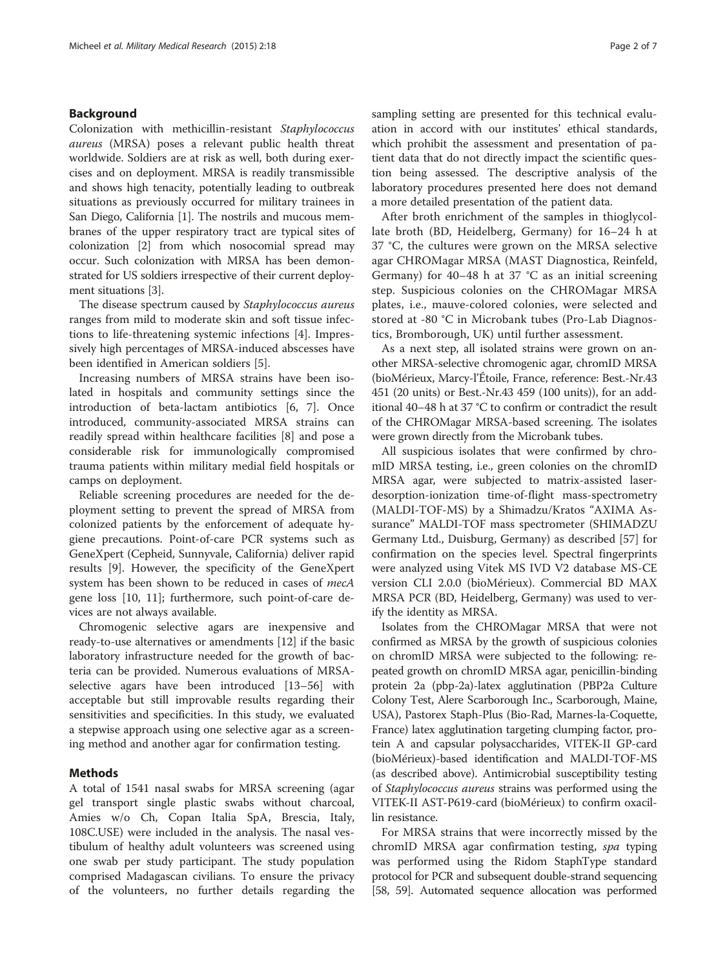## Background

Colonization with methicillin-resistant Staphylococcus aureus (MRSA) poses a relevant public health threat worldwide. Soldiers are at risk as well, both during exercises and on deployment. MRSA is readily transmissible and shows high tenacity, potentially leading to outbreak situations as previously occurred for military trainees in San Diego, California [[1\]](#page-4-0). The nostrils and mucous membranes of the upper respiratory tract are typical sites of colonization [[2\]](#page-4-0) from which nosocomial spread may occur. Such colonization with MRSA has been demonstrated for US soldiers irrespective of their current deployment situations [\[3](#page-4-0)].

The disease spectrum caused by Staphylococcus aureus ranges from mild to moderate skin and soft tissue infections to life-threatening systemic infections [\[4](#page-4-0)]. Impressively high percentages of MRSA-induced abscesses have been identified in American soldiers [\[5](#page-4-0)].

Increasing numbers of MRSA strains have been isolated in hospitals and community settings since the introduction of beta-lactam antibiotics [\[6](#page-4-0), [7](#page-4-0)]. Once introduced, community-associated MRSA strains can readily spread within healthcare facilities [\[8](#page-4-0)] and pose a considerable risk for immunologically compromised trauma patients within military medial field hospitals or camps on deployment.

Reliable screening procedures are needed for the deployment setting to prevent the spread of MRSA from colonized patients by the enforcement of adequate hygiene precautions. Point-of-care PCR systems such as GeneXpert (Cepheid, Sunnyvale, California) deliver rapid results [[9\]](#page-4-0). However, the specificity of the GeneXpert system has been shown to be reduced in cases of mecA gene loss [\[10](#page-4-0), [11\]](#page-4-0); furthermore, such point-of-care devices are not always available.

Chromogenic selective agars are inexpensive and ready-to-use alternatives or amendments [\[12](#page-4-0)] if the basic laboratory infrastructure needed for the growth of bacteria can be provided. Numerous evaluations of MRSAselective agars have been introduced [\[13](#page-4-0)–[56\]](#page-5-0) with acceptable but still improvable results regarding their sensitivities and specificities. In this study, we evaluated a stepwise approach using one selective agar as a screening method and another agar for confirmation testing.

## Methods

A total of 1541 nasal swabs for MRSA screening (agar gel transport single plastic swabs without charcoal, Amies w/o Ch, Copan Italia SpA, Brescia, Italy, 108C.USE) were included in the analysis. The nasal vestibulum of healthy adult volunteers was screened using one swab per study participant. The study population comprised Madagascan civilians. To ensure the privacy of the volunteers, no further details regarding the sampling setting are presented for this technical evaluation in accord with our institutes' ethical standards, which prohibit the assessment and presentation of patient data that do not directly impact the scientific question being assessed. The descriptive analysis of the laboratory procedures presented here does not demand a more detailed presentation of the patient data.

After broth enrichment of the samples in thioglycollate broth (BD, Heidelberg, Germany) for 16–24 h at 37 °C, the cultures were grown on the MRSA selective agar CHROMagar MRSA (MAST Diagnostica, Reinfeld, Germany) for  $40-48$  h at  $37 °C$  as an initial screening step. Suspicious colonies on the CHROMagar MRSA plates, i.e., mauve-colored colonies, were selected and stored at -80 °C in Microbank tubes (Pro-Lab Diagnostics, Bromborough, UK) until further assessment.

As a next step, all isolated strains were grown on another MRSA-selective chromogenic agar, chromID MRSA (bioMérieux, Marcy-l'Étoile, France, reference: Best.-Nr.43 451 (20 units) or Best.-Nr.43 459 (100 units)), for an additional 40–48 h at 37 °C to confirm or contradict the result of the CHROMagar MRSA-based screening. The isolates were grown directly from the Microbank tubes.

All suspicious isolates that were confirmed by chromID MRSA testing, i.e., green colonies on the chromID MRSA agar, were subjected to matrix-assisted laserdesorption-ionization time-of-flight mass-spectrometry (MALDI-TOF-MS) by a Shimadzu/Kratos "AXIMA Assurance" MALDI-TOF mass spectrometer (SHIMADZU Germany Ltd., Duisburg, Germany) as described [[57\]](#page-5-0) for confirmation on the species level. Spectral fingerprints were analyzed using Vitek MS IVD V2 database MS-CE version CLI 2.0.0 (bioMérieux). Commercial BD MAX MRSA PCR (BD, Heidelberg, Germany) was used to verify the identity as MRSA.

Isolates from the CHROMagar MRSA that were not confirmed as MRSA by the growth of suspicious colonies on chromID MRSA were subjected to the following: repeated growth on chromID MRSA agar, penicillin-binding protein 2a (pbp-2a)-latex agglutination (PBP2a Culture Colony Test, Alere Scarborough Inc., Scarborough, Maine, USA), Pastorex Staph-Plus (Bio-Rad, Marnes-la-Coquette, France) latex agglutination targeting clumping factor, protein A and capsular polysaccharides, VITEK-II GP-card (bioMérieux)-based identification and MALDI-TOF-MS (as described above). Antimicrobial susceptibility testing of Staphylococcus aureus strains was performed using the VITEK-II AST-P619-card (bioMérieux) to confirm oxacillin resistance.

For MRSA strains that were incorrectly missed by the chromID MRSA agar confirmation testing, spa typing was performed using the Ridom StaphType standard protocol for PCR and subsequent double-strand sequencing [[58](#page-5-0), [59\]](#page-5-0). Automated sequence allocation was performed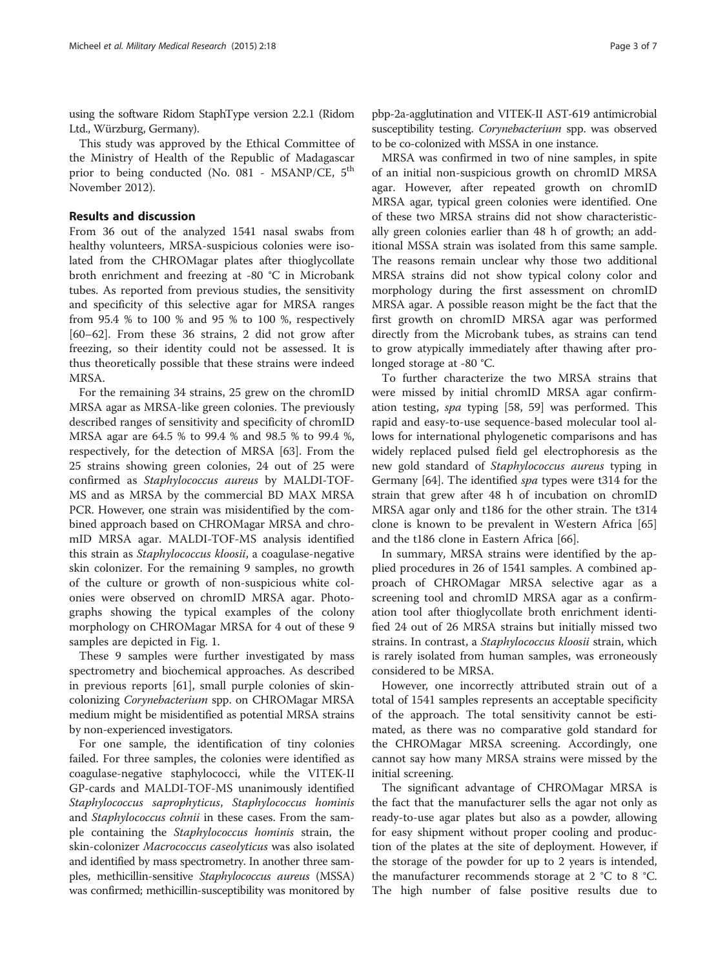using the software Ridom StaphType version 2.2.1 (Ridom Ltd., Würzburg, Germany).

This study was approved by the Ethical Committee of the Ministry of Health of the Republic of Madagascar prior to being conducted (No. 081 - MSANP/CE, 5<sup>th</sup> November 2012).

## Results and discussion

From 36 out of the analyzed 1541 nasal swabs from healthy volunteers, MRSA-suspicious colonies were isolated from the CHROMagar plates after thioglycollate broth enrichment and freezing at -80 °C in Microbank tubes. As reported from previous studies, the sensitivity and specificity of this selective agar for MRSA ranges from 95.4 % to 100 % and 95 % to 100 %, respectively [[60](#page-5-0)–[62](#page-5-0)]. From these 36 strains, 2 did not grow after freezing, so their identity could not be assessed. It is thus theoretically possible that these strains were indeed MRSA.

For the remaining 34 strains, 25 grew on the chromID MRSA agar as MRSA-like green colonies. The previously described ranges of sensitivity and specificity of chromID MRSA agar are 64.5 % to 99.4 % and 98.5 % to 99.4 %, respectively, for the detection of MRSA [\[63\]](#page-5-0). From the 25 strains showing green colonies, 24 out of 25 were confirmed as Staphylococcus aureus by MALDI-TOF-MS and as MRSA by the commercial BD MAX MRSA PCR. However, one strain was misidentified by the combined approach based on CHROMagar MRSA and chromID MRSA agar. MALDI-TOF-MS analysis identified this strain as Staphylococcus kloosii, a coagulase-negative skin colonizer. For the remaining 9 samples, no growth of the culture or growth of non-suspicious white colonies were observed on chromID MRSA agar. Photographs showing the typical examples of the colony morphology on CHROMagar MRSA for 4 out of these 9 samples are depicted in Fig. [1](#page-3-0).

These 9 samples were further investigated by mass spectrometry and biochemical approaches. As described in previous reports [[61](#page-5-0)], small purple colonies of skincolonizing Corynebacterium spp. on CHROMagar MRSA medium might be misidentified as potential MRSA strains by non-experienced investigators.

For one sample, the identification of tiny colonies failed. For three samples, the colonies were identified as coagulase-negative staphylococci, while the VITEK-II GP-cards and MALDI-TOF-MS unanimously identified Staphylococcus saprophyticus, Staphylococcus hominis and Staphylococcus cohnii in these cases. From the sample containing the Staphylococcus hominis strain, the skin-colonizer Macrococcus caseolyticus was also isolated and identified by mass spectrometry. In another three samples, methicillin-sensitive Staphylococcus aureus (MSSA) was confirmed; methicillin-susceptibility was monitored by

pbp-2a-agglutination and VITEK-II AST-619 antimicrobial susceptibility testing. Corynebacterium spp. was observed to be co-colonized with MSSA in one instance.

MRSA was confirmed in two of nine samples, in spite of an initial non-suspicious growth on chromID MRSA agar. However, after repeated growth on chromID MRSA agar, typical green colonies were identified. One of these two MRSA strains did not show characteristically green colonies earlier than 48 h of growth; an additional MSSA strain was isolated from this same sample. The reasons remain unclear why those two additional MRSA strains did not show typical colony color and morphology during the first assessment on chromID MRSA agar. A possible reason might be the fact that the first growth on chromID MRSA agar was performed directly from the Microbank tubes, as strains can tend to grow atypically immediately after thawing after prolonged storage at -80 °C.

To further characterize the two MRSA strains that were missed by initial chromID MRSA agar confirmation testing, spa typing [\[58](#page-5-0), [59\]](#page-5-0) was performed. This rapid and easy-to-use sequence-based molecular tool allows for international phylogenetic comparisons and has widely replaced pulsed field gel electrophoresis as the new gold standard of Staphylococcus aureus typing in Germany [[64](#page-5-0)]. The identified spa types were t314 for the strain that grew after 48 h of incubation on chromID MRSA agar only and t186 for the other strain. The t314 clone is known to be prevalent in Western Africa [[65](#page-5-0)] and the t186 clone in Eastern Africa [[66](#page-5-0)].

In summary, MRSA strains were identified by the applied procedures in 26 of 1541 samples. A combined approach of CHROMagar MRSA selective agar as a screening tool and chromID MRSA agar as a confirmation tool after thioglycollate broth enrichment identified 24 out of 26 MRSA strains but initially missed two strains. In contrast, a Staphylococcus kloosii strain, which is rarely isolated from human samples, was erroneously considered to be MRSA.

However, one incorrectly attributed strain out of a total of 1541 samples represents an acceptable specificity of the approach. The total sensitivity cannot be estimated, as there was no comparative gold standard for the CHROMagar MRSA screening. Accordingly, one cannot say how many MRSA strains were missed by the initial screening.

The significant advantage of CHROMagar MRSA is the fact that the manufacturer sells the agar not only as ready-to-use agar plates but also as a powder, allowing for easy shipment without proper cooling and production of the plates at the site of deployment. However, if the storage of the powder for up to 2 years is intended, the manufacturer recommends storage at 2 °C to 8 °C. The high number of false positive results due to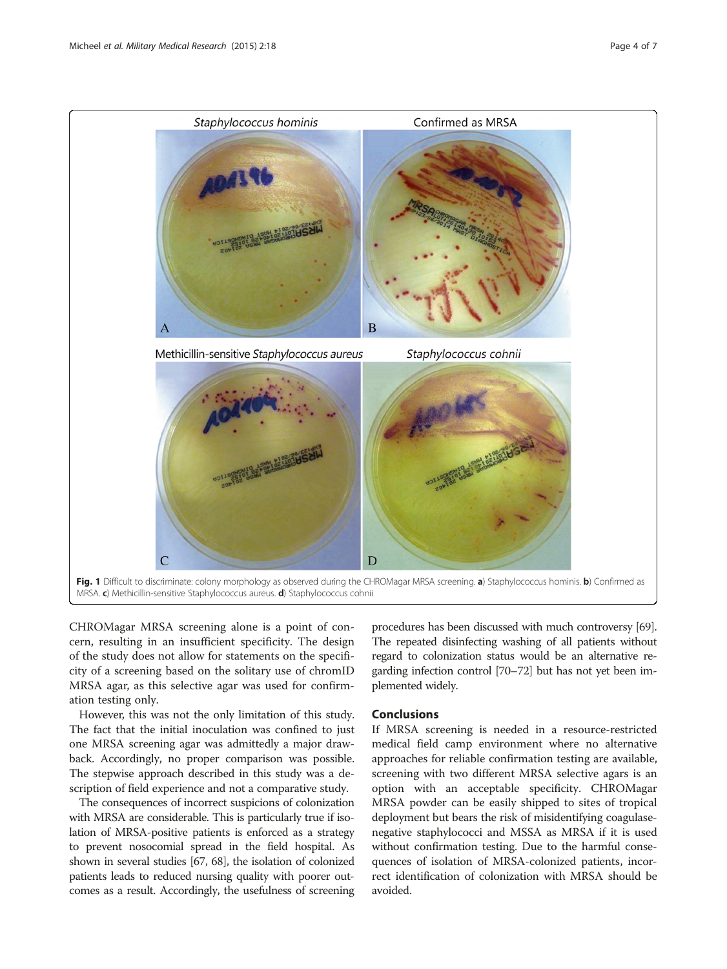<span id="page-3-0"></span>

CHROMagar MRSA screening alone is a point of concern, resulting in an insufficient specificity. The design of the study does not allow for statements on the specificity of a screening based on the solitary use of chromID MRSA agar, as this selective agar was used for confirmation testing only.

However, this was not the only limitation of this study. The fact that the initial inoculation was confined to just one MRSA screening agar was admittedly a major drawback. Accordingly, no proper comparison was possible. The stepwise approach described in this study was a description of field experience and not a comparative study.

The consequences of incorrect suspicions of colonization with MRSA are considerable. This is particularly true if isolation of MRSA-positive patients is enforced as a strategy to prevent nosocomial spread in the field hospital. As shown in several studies [[67](#page-6-0), [68\]](#page-6-0), the isolation of colonized patients leads to reduced nursing quality with poorer outcomes as a result. Accordingly, the usefulness of screening procedures has been discussed with much controversy [\[69](#page-6-0)]. The repeated disinfecting washing of all patients without regard to colonization status would be an alternative regarding infection control [\[70](#page-6-0)–[72\]](#page-6-0) but has not yet been implemented widely.

## Conclusions

If MRSA screening is needed in a resource-restricted medical field camp environment where no alternative approaches for reliable confirmation testing are available, screening with two different MRSA selective agars is an option with an acceptable specificity. CHROMagar MRSA powder can be easily shipped to sites of tropical deployment but bears the risk of misidentifying coagulasenegative staphylococci and MSSA as MRSA if it is used without confirmation testing. Due to the harmful consequences of isolation of MRSA-colonized patients, incorrect identification of colonization with MRSA should be avoided.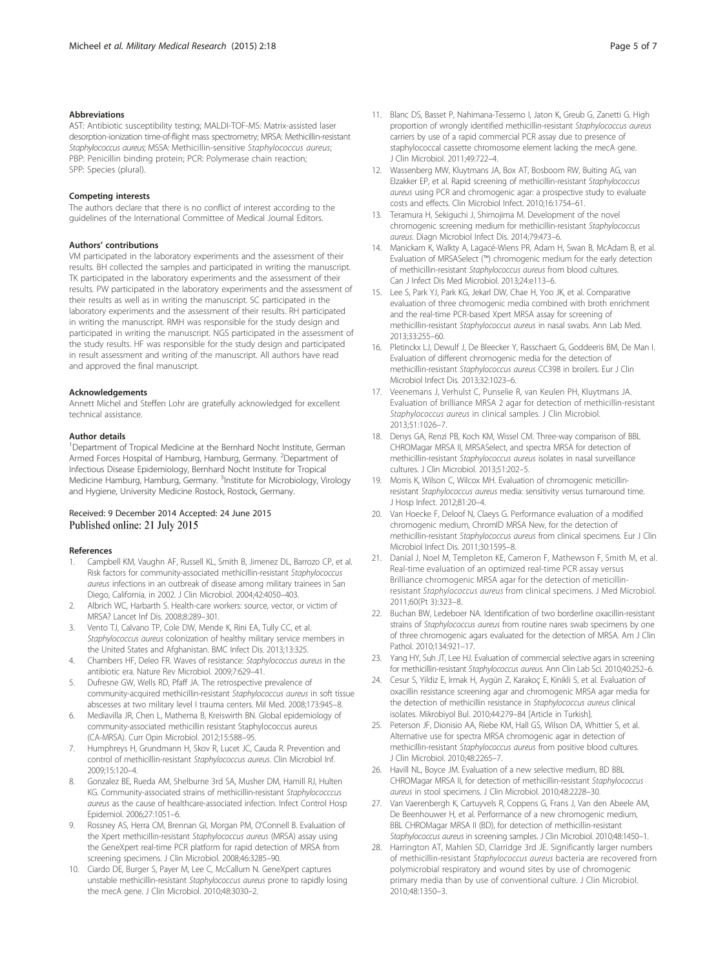### <span id="page-4-0"></span>**Abbreviations**

AST: Antibiotic susceptibility testing; MALDI-TOF-MS: Matrix-assisted laser desorption-ionization time-of-flight mass spectrometry; MRSA: Methicillin-resistant Staphylococcus aureus; MSSA: Methicillin-sensitive Staphylococcus aureus; PBP: Penicillin binding protein; PCR: Polymerase chain reaction; SPP: Species (plural).

#### Competing interests

The authors declare that there is no conflict of interest according to the guidelines of the International Committee of Medical Journal Editors.

## Authors' contributions

VM participated in the laboratory experiments and the assessment of their results. BH collected the samples and participated in writing the manuscript. TK participated in the laboratory experiments and the assessment of their results. PW participated in the laboratory experiments and the assessment of their results as well as in writing the manuscript. SC participated in the laboratory experiments and the assessment of their results. RH participated in writing the manuscript. RMH was responsible for the study design and participated in writing the manuscript. NGS participated in the assessment of the study results. HF was responsible for the study design and participated in result assessment and writing of the manuscript. All authors have read and approved the final manuscript.

#### Acknowledgements

Annett Michel and Steffen Lohr are gratefully acknowledged for excellent technical assistance.

#### Author details

<sup>1</sup>Department of Tropical Medicine at the Bernhard Nocht Institute, German Armed Forces Hospital of Hamburg, Hamburg, Germany. <sup>2</sup>Department of Infectious Disease Epidemiology, Bernhard Nocht Institute for Tropical Medicine Hamburg, Hamburg, Germany. <sup>3</sup>Institute for Microbiology, Virology and Hygiene, University Medicine Rostock, Rostock, Germany.

## Received: 9 December 2014 Accepted: 24 June 2015 Published online: 21 July 2015

#### References

- Campbell KM, Vaughn AF, Russell KL, Smith B, Jimenez DL, Barrozo CP, et al. Risk factors for community-associated methicillin-resistant Staphylococcus aureus infections in an outbreak of disease among military trainees in San Diego, California, in 2002. J Clin Microbiol. 2004;42:4050–403.
- 2. Albrich WC, Harbarth S. Health-care workers: source, vector, or victim of MRSA? Lancet Inf Dis. 2008;8:289–301.
- 3. Vento TJ, Calvano TP, Cole DW, Mende K, Rini EA, Tully CC, et al. Staphylococcus aureus colonization of healthy military service members in the United States and Afghanistan. BMC Infect Dis. 2013;13:325.
- 4. Chambers HF, Deleo FR. Waves of resistance: Staphylococcus aureus in the antibiotic era. Nature Rev Microbiol. 2009;7:629–41.
- 5. Dufresne GW, Wells RD, Pfaff JA. The retrospective prevalence of community-acquired methicillin-resistant Staphylococcus aureus in soft tissue abscesses at two military level I trauma centers. Mil Med. 2008;173:945–8.
- 6. Mediavilla JR, Chen L, Mathema B, Kreiswirth BN. Global epidemiology of community-associated methicillin resistant Staphylococcus aureus (CA-MRSA). Curr Opin Microbiol. 2012;15:588–95.
- 7. Humphreys H, Grundmann H, Skov R, Lucet JC, Cauda R. Prevention and control of methicillin-resistant Staphylococcus aureus. Clin Microbiol Inf. 2009;15:120–4.
- Gonzalez BE, Rueda AM, Shelburne 3rd SA, Musher DM, Hamill RJ, Hulten KG. Community-associated strains of methicillin-resistant Staphylococccus aureus as the cause of healthcare-associated infection. Infect Control Hosp Epidemiol. 2006;27:1051–6.
- 9. Rossney AS, Herra CM, Brennan GI, Morgan PM, O'Connell B. Evaluation of the Xpert methicillin-resistant Staphylococcus aureus (MRSA) assay using the GeneXpert real-time PCR platform for rapid detection of MRSA from screening specimens. J Clin Microbiol. 2008;46:3285–90.
- 10. Ciardo DE, Burger S, Payer M, Lee C, McCallum N. GeneXpert captures unstable methicillin-resistant Staphylococcus aureus prone to rapidly losing the mecA gene. J Clin Microbiol. 2010;48:3030–2.
- 11. Blanc DS, Basset P, Nahimana-Tessemo I, Jaton K, Greub G, Zanetti G. High proportion of wrongly identified methicillin-resistant Staphylococcus aureus carriers by use of a rapid commercial PCR assay due to presence of staphylococcal cassette chromosome element lacking the mecA gene. J Clin Microbiol. 2011;49:722–4.
- 12. Wassenberg MW, Kluytmans JA, Box AT, Bosboom RW, Buiting AG, van Elzakker EP, et al. Rapid screening of methicillin-resistant Staphylococcus aureus using PCR and chromogenic agar: a prospective study to evaluate costs and effects. Clin Microbiol Infect. 2010;16:1754–61.
- 13. Teramura H, Sekiguchi J, Shimojima M. Development of the novel chromogenic screening medium for methicillin-resistant Staphylococcus aureus. Diagn Microbiol Infect Dis. 2014;79:473–6.
- 14. Manickam K, Walkty A, Lagacé-Wiens PR, Adam H, Swan B, McAdam B, et al. Evaluation of MRSASelect (™) chromogenic medium for the early detection of methicillin-resistant Staphylococcus aureus from blood cultures. Can J Infect Dis Med Microbiol. 2013;24:e113–6.
- 15. Lee S, Park YJ, Park KG, Jekarl DW, Chae H, Yoo JK, et al. Comparative evaluation of three chromogenic media combined with broth enrichment and the real-time PCR-based Xpert MRSA assay for screening of methicillin-resistant Staphylococcus aureus in nasal swabs. Ann Lab Med. 2013;33:255–60.
- 16. Pletinckx LJ, Dewulf J, De Bleecker Y, Rasschaert G, Goddeeris BM, De Man I. Evaluation of different chromogenic media for the detection of methicillin-resistant Staphylococcus aureus CC398 in broilers. Eur J Clin Microbiol Infect Dis. 2013;32:1023–6.
- 17. Veenemans J, Verhulst C, Punselie R, van Keulen PH, Kluytmans JA. Evaluation of brilliance MRSA 2 agar for detection of methicillin-resistant Staphylococcus aureus in clinical samples. J Clin Microbiol. 2013;51:1026–7.
- 18. Denys GA, Renzi PB, Koch KM, Wissel CM. Three-way comparison of BBL CHROMagar MRSA II, MRSASelect, and spectra MRSA for detection of methicillin-resistant Staphylococcus aureus isolates in nasal surveillance cultures. J Clin Microbiol. 2013;51:202–5.
- 19. Morris K, Wilson C, Wilcox MH. Evaluation of chromogenic meticillinresistant Staphylococcus aureus media: sensitivity versus turnaround time. J Hosp Infect. 2012;81:20–4.
- 20. Van Hoecke F, Deloof N, Claeys G. Performance evaluation of a modified chromogenic medium, ChromID MRSA New, for the detection of methicillin-resistant Staphylococcus aureus from clinical specimens. Eur J Clin Microbiol Infect Dis. 2011;30:1595–8.
- 21. Danial J, Noel M, Templeton KE, Cameron F, Mathewson F, Smith M, et al. Real-time evaluation of an optimized real-time PCR assay versus Brilliance chromogenic MRSA agar for the detection of meticillinresistant Staphylococcus aureus from clinical specimens. J Med Microbiol. 2011;60(Pt 3):323–8.
- 22. Buchan BW, Ledeboer NA. Identification of two borderline oxacillin-resistant strains of Staphylococcus aureus from routine nares swab specimens by one of three chromogenic agars evaluated for the detection of MRSA. Am J Clin Pathol. 2010;134:921–17.
- 23. Yang HY, Suh JT, Lee HJ. Evaluation of commercial selective agars in screening for methicillin-resistant Staphylococcus aureus. Ann Clin Lab Sci. 2010;40:252–6.
- 24. Cesur S, Yildiz E, Irmak H, Aygün Z, Karakoç E, Kinikli S, et al. Evaluation of oxacillin resistance screening agar and chromogenic MRSA agar media for the detection of methicillin resistance in Staphylococcus aureus clinical isolates. Mikrobiyol Bul. 2010;44:279–84 [Article in Turkish].
- 25. Peterson JF, Dionisio AA, Riebe KM, Hall GS, Wilson DA, Whittier S, et al. Alternative use for spectra MRSA chromogenic agar in detection of methicillin-resistant Staphylococcus aureus from positive blood cultures. J Clin Microbiol. 2010;48:2265–7.
- 26. Havill NL, Boyce JM. Evaluation of a new selective medium, BD BBL CHROMagar MRSA II, for detection of methicillin-resistant Staphylococcus aureus in stool specimens. J Clin Microbiol. 2010;48:2228–30.
- 27. Van Vaerenbergh K, Cartuyvels R, Coppens G, Frans J, Van den Abeele AM, De Beenhouwer H, et al. Performance of a new chromogenic medium, BBL CHROMagar MRSA II (BD), for detection of methicillin-resistant Staphylococcus aureus in screening samples. J Clin Microbiol. 2010;48:1450–1.
- 28. Harrington AT, Mahlen SD, Clarridge 3rd JE. Significantly larger numbers of methicillin-resistant Staphylococcus aureus bacteria are recovered from polymicrobial respiratory and wound sites by use of chromogenic primary media than by use of conventional culture. J Clin Microbiol. 2010;48:1350–3.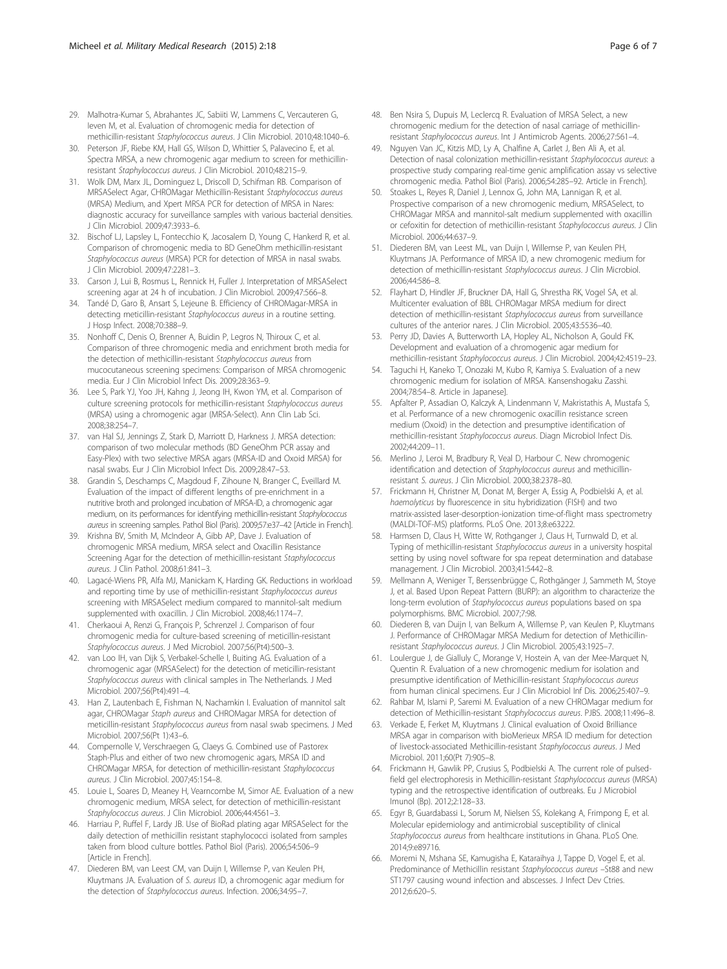- <span id="page-5-0"></span>29. Malhotra-Kumar S, Abrahantes JC, Sabiiti W, Lammens C, Vercauteren G, Ieven M, et al. Evaluation of chromogenic media for detection of methicillin-resistant Staphylococcus aureus. J Clin Microbiol. 2010;48:1040–6.
- 30. Peterson JF, Riebe KM, Hall GS, Wilson D, Whittier S, Palavecino E, et al. Spectra MRSA, a new chromogenic agar medium to screen for methicillinresistant Staphylococcus aureus. J Clin Microbiol. 2010;48:215–9.
- 31. Wolk DM, Marx JL, Dominguez L, Driscoll D, Schifman RB. Comparison of MRSASelect Agar, CHROMagar Methicillin-Resistant Staphylococcus aureus (MRSA) Medium, and Xpert MRSA PCR for detection of MRSA in Nares: diagnostic accuracy for surveillance samples with various bacterial densities. J Clin Microbiol. 2009;47:3933–6.
- 32. Bischof LJ, Lapsley L, Fontecchio K, Jacosalem D, Young C, Hankerd R, et al. Comparison of chromogenic media to BD GeneOhm methicillin-resistant Staphylococcus aureus (MRSA) PCR for detection of MRSA in nasal swabs. J Clin Microbiol. 2009;47:2281–3.
- 33. Carson J, Lui B, Rosmus L, Rennick H, Fuller J. Interpretation of MRSASelect screening agar at 24 h of incubation. J Clin Microbiol. 2009;47:566–8.
- 34. Tandé D, Garo B, Ansart S, Lejeune B. Efficiency of CHROMagar-MRSA in detecting meticillin-resistant Staphylococcus aureus in a routine setting. J Hosp Infect. 2008;70:388–9.
- 35. Nonhoff C, Denis O, Brenner A, Buidin P, Legros N, Thiroux C, et al. Comparison of three chromogenic media and enrichment broth media for the detection of methicillin-resistant Staphylococcus aureus from mucocutaneous screening specimens: Comparison of MRSA chromogenic media. Eur J Clin Microbiol Infect Dis. 2009;28:363–9.
- 36. Lee S, Park YJ, Yoo JH, Kahng J, Jeong IH, Kwon YM, et al. Comparison of culture screening protocols for methicillin-resistant Staphylococcus aureus (MRSA) using a chromogenic agar (MRSA-Select). Ann Clin Lab Sci. 2008;38:254–7.
- 37. van Hal SJ, Jennings Z, Stark D, Marriott D, Harkness J. MRSA detection: comparison of two molecular methods (BD GeneOhm PCR assay and Easy-Plex) with two selective MRSA agars (MRSA-ID and Oxoid MRSA) for nasal swabs. Eur J Clin Microbiol Infect Dis. 2009;28:47–53.
- 38. Grandin S, Deschamps C, Magdoud F, Zihoune N, Branger C, Eveillard M. Evaluation of the impact of different lengths of pre-enrichment in a nutritive broth and prolonged incubation of MRSA-ID, a chromogenic agar medium, on its performances for identifying methicillin-resistant Staphylococcus aureus in screening samples. Pathol Biol (Paris). 2009;57:e37–42 [Article in French].
- 39. Krishna BV, Smith M, McIndeor A, Gibb AP, Dave J. Evaluation of chromogenic MRSA medium, MRSA select and Oxacillin Resistance Screening Agar for the detection of methicillin-resistant Staphylococcus aureus. J Clin Pathol. 2008;61:841–3.
- 40. Lagacé-Wiens PR, Alfa MJ, Manickam K, Harding GK. Reductions in workload and reporting time by use of methicillin-resistant Staphylococcus aureus screening with MRSASelect medium compared to mannitol-salt medium supplemented with oxacillin. J Clin Microbiol. 2008;46:1174–7.
- 41. Cherkaoui A, Renzi G, François P, Schrenzel J. Comparison of four chromogenic media for culture-based screening of meticillin-resistant Staphylococcus aureus. J Med Microbiol. 2007;56(Pt4):500–3.
- 42. van Loo IH, van Dijk S, Verbakel-Schelle I, Buiting AG. Evaluation of a chromogenic agar (MRSASelect) for the detection of meticillin-resistant Staphylococcus aureus with clinical samples in The Netherlands. J Med Microbiol. 2007;56(Pt4):491–4.
- 43. Han Z, Lautenbach E, Fishman N, Nachamkin I. Evaluation of mannitol salt agar, CHROMagar Staph aureus and CHROMagar MRSA for detection of meticillin-resistant Staphylococcus aureus from nasal swab specimens. J Med Microbiol. 2007;56(Pt 1):43–6.
- 44. Compernolle V, Verschraegen G, Claeys G. Combined use of Pastorex Staph-Plus and either of two new chromogenic agars, MRSA ID and CHROMagar MRSA, for detection of methicillin-resistant Staphylococcus aureus. J Clin Microbiol. 2007;45:154–8.
- 45. Louie L, Soares D, Meaney H, Vearncombe M, Simor AE. Evaluation of a new chromogenic medium, MRSA select, for detection of methicillin-resistant Staphylococcus aureus. J Clin Microbiol. 2006;44:4561–3.
- 46. Harriau P, Ruffel F, Lardy JB. Use of BioRad plating agar MRSASelect for the daily detection of methicillin resistant staphylococci isolated from samples taken from blood culture bottles. Pathol Biol (Paris). 2006;54:506–9 [Article in French].
- 47. Diederen BM, van Leest CM, van Duijn I, Willemse P, van Keulen PH, Kluytmans JA. Evaluation of S. aureus ID, a chromogenic agar medium for the detection of Staphylococcus aureus. Infection. 2006;34:95–7.
- 48. Ben Nsira S, Dupuis M, Leclercq R. Evaluation of MRSA Select, a new chromogenic medium for the detection of nasal carriage of methicillinresistant Staphylococcus aureus. Int J Antimicrob Agents. 2006;27:561–4.
- 49. Nguyen Van JC, Kitzis MD, Ly A, Chalfine A, Carlet J, Ben Ali A, et al. Detection of nasal colonization methicillin-resistant Staphylococcus aureus: a prospective study comparing real-time genic amplification assay vs selective chromogenic media. Pathol Biol (Paris). 2006;54:285–92. Article in French].
- 50. Stoakes L, Reyes R, Daniel J, Lennox G, John MA, Lannigan R, et al. Prospective comparison of a new chromogenic medium, MRSASelect, to CHROMagar MRSA and mannitol-salt medium supplemented with oxacillin or cefoxitin for detection of methicillin-resistant Staphylococcus aureus. J Clin Microbiol. 2006;44:637–9.
- 51. Diederen BM, van Leest ML, van Duijn I, Willemse P, van Keulen PH, Kluytmans JA. Performance of MRSA ID, a new chromogenic medium for detection of methicillin-resistant Staphylococcus aureus. J Clin Microbiol. 2006;44:586–8.
- 52. Flayhart D, Hindler JF, Bruckner DA, Hall G, Shrestha RK, Vogel SA, et al. Multicenter evaluation of BBL CHROMagar MRSA medium for direct detection of methicillin-resistant Staphylococcus aureus from surveillance cultures of the anterior nares. J Clin Microbiol. 2005;43:5536–40.
- 53. Perry JD, Davies A, Butterworth LA, Hopley AL, Nicholson A, Gould FK. Development and evaluation of a chromogenic agar medium for methicillin-resistant Staphylococcus aureus. J Clin Microbiol. 2004;42:4519–23.
- 54. Taguchi H, Kaneko T, Onozaki M, Kubo R, Kamiya S. Evaluation of a new chromogenic medium for isolation of MRSA. Kansenshogaku Zasshi. 2004;78:54–8. Article in Japanese].
- 55. Apfalter P, Assadian O, Kalczyk A, Lindenmann V, Makristathis A, Mustafa S, et al. Performance of a new chromogenic oxacillin resistance screen medium (Oxoid) in the detection and presumptive identification of methicillin-resistant Staphylococcus aureus. Diagn Microbiol Infect Dis. 2002;44:209–11.
- 56. Merlino J, Leroi M, Bradbury R, Veal D, Harbour C. New chromogenic identification and detection of Staphylococcus aureus and methicillinresistant S. aureus. J Clin Microbiol. 2000;38:2378–80.
- 57. Frickmann H, Christner M, Donat M, Berger A, Essig A, Podbielski A, et al. haemolyticus by fluorescence in situ hybridization (FISH) and two matrix-assisted laser-desorption-ionization time-of-flight mass spectrometry (MALDI-TOF-MS) platforms. PLoS One. 2013;8:e63222.
- 58. Harmsen D, Claus H, Witte W, Rothganger J, Claus H, Turnwald D, et al. Typing of methicillin-resistant Staphylococcus aureus in a university hospital setting by using novel software for spa repeat determination and database management. J Clin Microbiol. 2003;41:5442–8.
- 59. Mellmann A, Weniger T, Berssenbrügge C, Rothgänger J, Sammeth M, Stoye J, et al. Based Upon Repeat Pattern (BURP): an algorithm to characterize the long-term evolution of Staphylococcus aureus populations based on spa polymorphisms. BMC Microbiol. 2007;7:98.
- 60. Diederen B, van Duijn I, van Belkum A, Willemse P, van Keulen P, Kluytmans J. Performance of CHROMagar MRSA Medium for detection of Methicillinresistant Staphylococcus aureus. J Clin Microbiol. 2005;43:1925–7.
- 61. Loulergue J, de Gialluly C, Morange V, Hostein A, van der Mee-Marquet N, Quentin R. Evaluation of a new chromogenic medium for isolation and presumptive identification of Methicillin-resistant Staphylococcus aureus from human clinical specimens. Eur J Clin Microbiol Inf Dis. 2006;25:407–9.
- 62. Rahbar M, Islami P, Saremi M. Evaluation of a new CHROMagar medium for detection of Methicillin-resistant Staphylococcus aureus. PJBS. 2008;11:496–8.
- 63. Verkade E, Ferket M, Kluytmans J. Clinical evaluation of Oxoid Brilliance MRSA agar in comparison with bioMerieux MRSA ID medium for detection of livestock-associated Methicillin-resistant Staphylococcus aureus. J Med Microbiol. 2011;60(Pt 7):905–8.
- 64. Frickmann H, Gawlik PP, Crusius S, Podbielski A. The current role of pulsedfield gel electrophoresis in Methicillin-resistant Staphylococcus aureus (MRSA) typing and the retrospective identification of outbreaks. Eu J Microbiol Imunol (Bp). 2012;2:128–33.
- 65. Egyr B, Guardabassi L, Sorum M, Nielsen SS, Kolekang A, Frimpong E, et al. Molecular epidemiology and antimicrobial susceptibility of clinical Staphylococcus aureus from healthcare institutions in Ghana. PLoS One. 2014;9:e89716.
- 66. Moremi N, Mshana SE, Kamugisha E, Kataraihya J, Tappe D, Vogel E, et al. Predominance of Methicillin resistant Staphylococcus aureus -St88 and new ST1797 causing wound infection and abscesses. J Infect Dev Ctries. 2012;6:620–5.